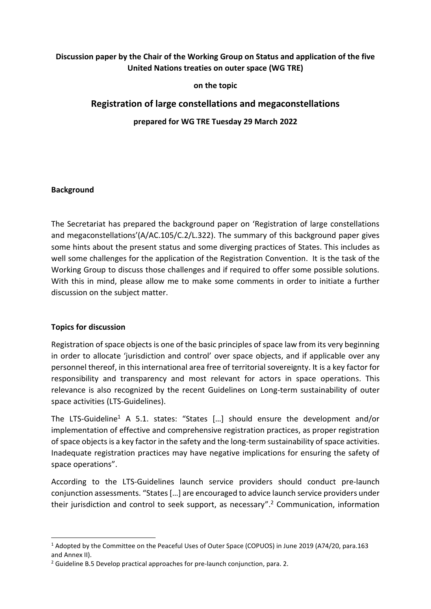## **Discussion paper by the Chair of the Working Group on Status and application of the five United Nations treaties on outer space (WG TRE)**

**on the topic**

# **Registration of large constellations and megaconstellations**

**prepared for WG TRE Tuesday 29 March 2022**

### **Background**

The Secretariat has prepared the background paper on 'Registration of large constellations and megaconstellations'(A/AC.105/C.2/L.322). The summary of this background paper gives some hints about the present status and some diverging practices of States. This includes as well some challenges for the application of the Registration Convention. It is the task of the Working Group to discuss those challenges and if required to offer some possible solutions. With this in mind, please allow me to make some comments in order to initiate a further discussion on the subject matter.

### **Topics for discussion**

Registration of space objects is one of the basic principles of space law from its very beginning in order to allocate 'jurisdiction and control' over space objects, and if applicable over any personnel thereof, in this international area free of territorial sovereignty. It is a key factor for responsibility and transparency and most relevant for actors in space operations. This relevance is also recognized by the recent Guidelines on Long-term sustainability of outer space activities (LTS-Guidelines).

The LTS-Guideline<sup>1</sup> A 5.1. states: "States [...] should ensure the development and/or implementation of effective and comprehensive registration practices, as proper registration of space objects is a key factor in the safety and the long-term sustainability of space activities. Inadequate registration practices may have negative implications for ensuring the safety of space operations".

According to the LTS-Guidelines launch service providers should conduct pre-launch conjunction assessments. "States[…] are encouraged to advice launch service providers under their jurisdiction and control to seek support, as necessary". <sup>2</sup> Communication, information

<sup>1</sup> Adopted by the Committee on the Peaceful Uses of Outer Space (COPUOS) in June 2019 (A74/20, para.163 and Annex II).

<sup>&</sup>lt;sup>2</sup> Guideline B.5 Develop practical approaches for pre-launch conjunction, para. 2.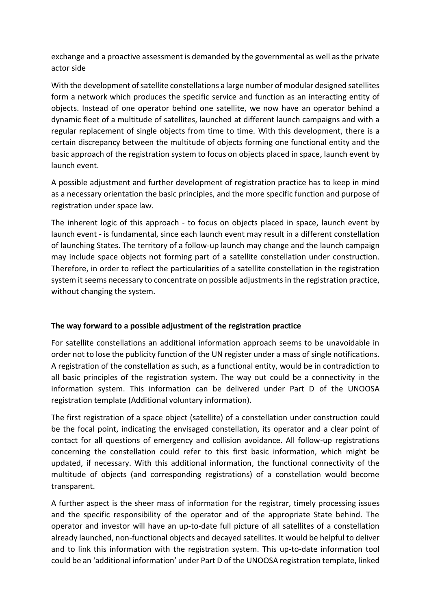exchange and a proactive assessment is demanded by the governmental as well as the private actor side

With the development of satellite constellations a large number of modular designed satellites form a network which produces the specific service and function as an interacting entity of objects. Instead of one operator behind one satellite, we now have an operator behind a dynamic fleet of a multitude of satellites, launched at different launch campaigns and with a regular replacement of single objects from time to time. With this development, there is a certain discrepancy between the multitude of objects forming one functional entity and the basic approach of the registration system to focus on objects placed in space, launch event by launch event.

A possible adjustment and further development of registration practice has to keep in mind as a necessary orientation the basic principles, and the more specific function and purpose of registration under space law.

The inherent logic of this approach - to focus on objects placed in space, launch event by launch event - is fundamental, since each launch event may result in a different constellation of launching States. The territory of a follow-up launch may change and the launch campaign may include space objects not forming part of a satellite constellation under construction. Therefore, in order to reflect the particularities of a satellite constellation in the registration system it seems necessary to concentrate on possible adjustments in the registration practice, without changing the system.

### **The way forward to a possible adjustment of the registration practice**

For satellite constellations an additional information approach seems to be unavoidable in order not to lose the publicity function of the UN register under a mass of single notifications. A registration of the constellation as such, as a functional entity, would be in contradiction to all basic principles of the registration system. The way out could be a connectivity in the information system. This information can be delivered under Part D of the UNOOSA registration template (Additional voluntary information).

The first registration of a space object (satellite) of a constellation under construction could be the focal point, indicating the envisaged constellation, its operator and a clear point of contact for all questions of emergency and collision avoidance. All follow-up registrations concerning the constellation could refer to this first basic information, which might be updated, if necessary. With this additional information, the functional connectivity of the multitude of objects (and corresponding registrations) of a constellation would become transparent.

A further aspect is the sheer mass of information for the registrar, timely processing issues and the specific responsibility of the operator and of the appropriate State behind. The operator and investor will have an up-to-date full picture of all satellites of a constellation already launched, non-functional objects and decayed satellites. It would be helpful to deliver and to link this information with the registration system. This up-to-date information tool could be an 'additional information' under Part D of the UNOOSA registration template, linked